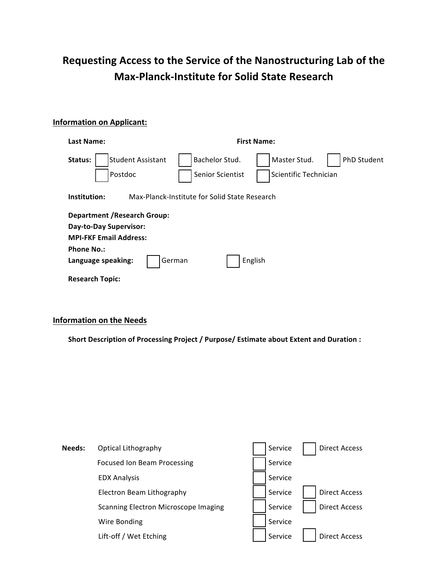# **Requesting Access to the Service of the Nanostructuring Lab of the Max-Planck-Institute for Solid State Research**

## **Information on Applicant:**

| Last Name:                                                    | <b>First Name:</b>                        |                                       |                    |  |  |
|---------------------------------------------------------------|-------------------------------------------|---------------------------------------|--------------------|--|--|
| <b>Student Assistant</b><br>Status:<br>Postdoc                | Bachelor Stud.<br><b>Senior Scientist</b> | Master Stud.<br>Scientific Technician | <b>PhD Student</b> |  |  |
| Institution:<br>Max-Planck-Institute for Solid State Research |                                           |                                       |                    |  |  |
| <b>Department / Research Group:</b>                           |                                           |                                       |                    |  |  |
| Day-to-Day Supervisor:                                        |                                           |                                       |                    |  |  |
| <b>MPI-FKF Email Address:</b>                                 |                                           |                                       |                    |  |  |
| <b>Phone No.:</b>                                             |                                           |                                       |                    |  |  |
| Language speaking:                                            | German                                    | English                               |                    |  |  |
| <b>Research Topic:</b>                                        |                                           |                                       |                    |  |  |

## **Information on the Needs**

Short Description of Processing Project / Purpose/ Estimate about Extent and Duration :

| Needs: | Optical Lithography                  | Service | <b>Direct Access</b> |
|--------|--------------------------------------|---------|----------------------|
|        | Focused Ion Beam Processing          | Service |                      |
|        | <b>EDX Analysis</b>                  | Service |                      |
|        | Electron Beam Lithography            | Service | <b>Direct Access</b> |
|        | Scanning Electron Microscope Imaging | Service | <b>Direct Access</b> |
|        | Wire Bonding                         | Service |                      |
|        | Lift-off / Wet Etching               | Service | <b>Direct Access</b> |